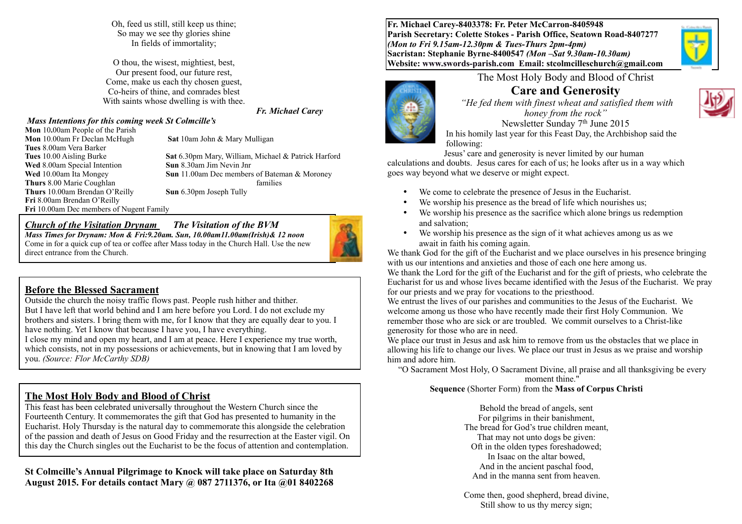Oh, feed us still, still keep us thine; So may we see thy glories shine In fields of immortality;

O thou, the wisest, mightiest, best, Our present food, our future rest, Come, make us each thy chosen guest, Co-heirs of thine, and comrades blest With saints whose dwelling is with thee.

#### *Mass Intentions for this coming week St Colmcille's*  **Mon** 10**.**00am People of the Parish

**Mon** 10.00am Fr Declan McHugh **Sat** 10am John & Mary Mulligan

**Tues** 10.00 Aisling Burke **Sat** 6.30pm Mary, William, Michael & Patrick Harford **Wed** 8.00am Special Intention **Sun** 8.30am Jim Nevin Jnr **Wed** 10.00am Ita Mongey **Sun** 11.00am Dec members of Bateman & Moroney **Thurs** 8.00 Marie Coughlan **Thurs** 10.00am Brendan O'Reilly **Sun** 6.30pm Joseph Tully

*Fr. Michael Carey*

#### *Church of the Visitation Drynam**The Visitation of the BVM*

*Mass Times for Drynam: Mon & Fri:9.20am. Sun, 10.00am11.00am(Irish)& 12 noon* Come in for a quick cup of tea or coffee after Mass today in the Church Hall. Use the new direct entrance from the Church.

#### **Before the Blessed Sacrament**

**Fri** 10.00am Dec members of Nugent Family

**Tues** 8.00am Vera Barker

**Thurs 8.00 Marie Coughlan** 

**Fri** 8.00am Brendan O'Reilly

Outside the church the noisy traffic flows past. People rush hither and thither. But I have left that world behind and I am here before you Lord. I do not exclude my brothers and sisters. I bring them with me, for I know that they are equally dear to you. I have nothing. Yet I know that because I have you. I have everything.

I close my mind and open my heart, and I am at peace. Here I experience my true worth, which consists, not in my possessions or achievements, but in knowing that I am loved by you. *(Source: Flor McCarthy SDB)*

## **The Most Holy Body and Blood of Christ**

This feast has been celebrated universally throughout the Western Church since the Fourteenth Century. It commemorates the gift that God has presented to humanity in the Eucharist. Holy Thursday is the natural day to commemorate this alongside the celebration of the passion and death of Jesus on Good Friday and the resurrection at the Easter vigil. On this day the Church singles out the Eucharist to be the focus of attention and contemplation.

#### **St Colmcille's Annual Pilgrimage to Knock will take place on Saturday 8th August 2015. For details contact Mary @ 087 2711376, or Ita @01 8402268**

**Fr. Michael Carey-8403378: Fr. Peter McCarron-8405948 Parish Secretary: Colette Stokes - Parish Office, Seatown Road-8407277**  *(Mon to Fri 9.15am-12.30pm & Tues-Thurs 2pm-4pm)*  **Sacristan: Stephanie Byrne-8400547** *(Mon –Sat 9.30am-10.30am)* **Website: [www.swords-parish.com Email](http://www.swords-parish.com%20%20email): stcolmcilleschurch@gmail.com**



The Most Holy Body and Blood of Christ

# **Care and Generosity**

 *"He fed them with finest wheat and satisfied them with honey from the rock"*  Newsletter Sunday 7th June 2015 In his homily last year for this Feast Day, the Archbishop said the following:

Jesus' care and generosity is never limited by our human

calculations and doubts. Jesus cares for each of us; he looks after us in a way which goes way beyond what we deserve or might expect.

- We come to celebrate the presence of Jesus in the Eucharist.
- We worship his presence as the bread of life which nourishes us;
- We worship his presence as the sacrifice which alone brings us redemption and salvation;
- We worship his presence as the sign of it what achieves among us as we await in faith his coming again.

We thank God for the gift of the Eucharist and we place ourselves in his presence bringing with us our intentions and anxieties and those of each one here among us.

We thank the Lord for the gift of the Eucharist and for the gift of priests, who celebrate the Eucharist for us and whose lives became identified with the Jesus of the Eucharist. We pray for our priests and we pray for vocations to the priesthood.

We entrust the lives of our parishes and communities to the Jesus of the Eucharist. We welcome among us those who have recently made their first Holy Communion. We remember those who are sick or are troubled. We commit ourselves to a Christ-like generosity for those who are in need.

We place our trust in Jesus and ask him to remove from us the obstacles that we place in allowing his life to change our lives. We place our trust in Jesus as we praise and worship him and adore him.

"O Sacrament Most Holy, O Sacrament Divine, all praise and all thanksgiving be every moment thine."

#### **Sequence** (Shorter Form) from the **Mass of Corpus Christi**

Behold the bread of angels, sent For pilgrims in their banishment, The bread for God's true children meant, That may not unto dogs be given: Oft in the olden types foreshadowed; In Isaac on the altar bowed, And in the ancient paschal food, And in the manna sent from heaven.

Come then, good shepherd, bread divine, Still show to us thy mercy sign;